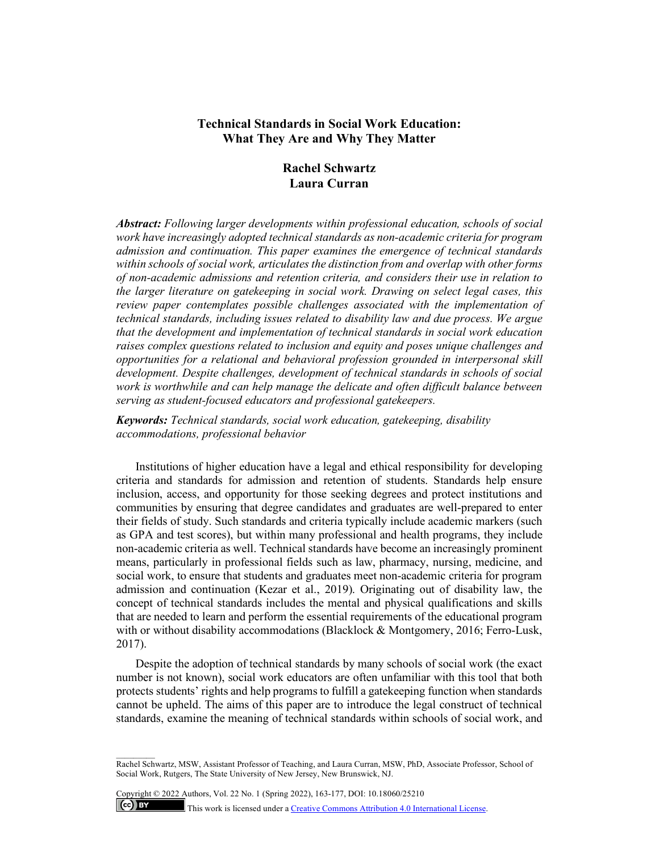## **Technical Standards in Social Work Education: What They Are and Why They Matter**

# **Rachel Schwartz Laura Curran**

*Abstract: Following larger developments within professional education, schools of social work have increasingly adopted technical standards as non-academic criteria for program admission and continuation. This paper examines the emergence of technical standards within schools of social work, articulates the distinction from and overlap with other forms of non-academic admissions and retention criteria, and considers their use in relation to the larger literature on gatekeeping in social work. Drawing on select legal cases, this review paper contemplates possible challenges associated with the implementation of technical standards, including issues related to disability law and due process. We argue that the development and implementation of technical standards in social work education raises complex questions related to inclusion and equity and poses unique challenges and opportunities for a relational and behavioral profession grounded in interpersonal skill development. Despite challenges, development of technical standards in schools of social work is worthwhile and can help manage the delicate and often difficult balance between serving as student-focused educators and professional gatekeepers.* 

*Keywords: Technical standards, social work education, gatekeeping, disability accommodations, professional behavior*

Institutions of higher education have a legal and ethical responsibility for developing criteria and standards for admission and retention of students. Standards help ensure inclusion, access, and opportunity for those seeking degrees and protect institutions and communities by ensuring that degree candidates and graduates are well-prepared to enter their fields of study. Such standards and criteria typically include academic markers (such as GPA and test scores), but within many professional and health programs, they include non-academic criteria as well. Technical standards have become an increasingly prominent means, particularly in professional fields such as law, pharmacy, nursing, medicine, and social work, to ensure that students and graduates meet non-academic criteria for program admission and continuation (Kezar et al., 2019). Originating out of disability law, the concept of technical standards includes the mental and physical qualifications and skills that are needed to learn and perform the essential requirements of the educational program with or without disability accommodations (Blacklock & Montgomery, 2016; Ferro-Lusk, 2017).

Despite the adoption of technical standards by many schools of social work (the exact number is not known), social work educators are often unfamiliar with this tool that both protects students' rights and help programs to fulfill a gatekeeping function when standards cannot be upheld. The aims of this paper are to introduce the legal construct of technical standards, examine the meaning of technical standards within schools of social work, and

Copyright © 2022 Authors, Vol. 22 No. 1 (Spring 2022), 163-177, DOI: 10.18060/25210  $\left($ ce $\right)$  BY This work is licensed under [a Creative Commons Attribution 4.0 International License.](about:blank)

 $\overline{\phantom{a}}$ 

Rachel Schwartz, MSW, Assistant Professor of Teaching, and Laura Curran, MSW, PhD, Associate Professor, School of Social Work, Rutgers, The State University of New Jersey, New Brunswick, NJ.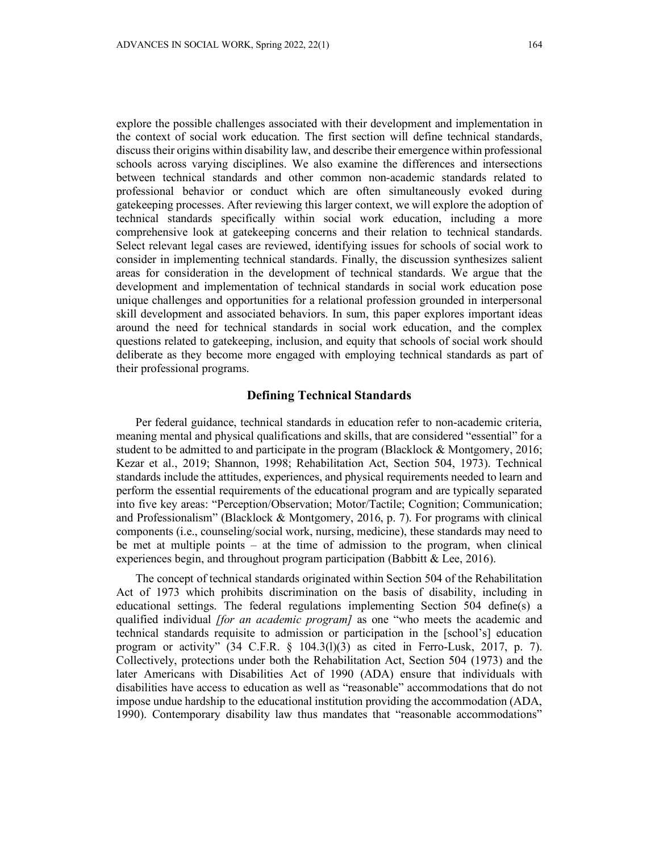explore the possible challenges associated with their development and implementation in the context of social work education. The first section will define technical standards, discuss their origins within disability law, and describe their emergence within professional schools across varying disciplines. We also examine the differences and intersections between technical standards and other common non-academic standards related to professional behavior or conduct which are often simultaneously evoked during gatekeeping processes. After reviewing this larger context, we will explore the adoption of technical standards specifically within social work education, including a more comprehensive look at gatekeeping concerns and their relation to technical standards. Select relevant legal cases are reviewed, identifying issues for schools of social work to consider in implementing technical standards. Finally, the discussion synthesizes salient areas for consideration in the development of technical standards. We argue that the development and implementation of technical standards in social work education pose unique challenges and opportunities for a relational profession grounded in interpersonal skill development and associated behaviors. In sum, this paper explores important ideas around the need for technical standards in social work education, and the complex questions related to gatekeeping, inclusion, and equity that schools of social work should deliberate as they become more engaged with employing technical standards as part of their professional programs.

#### **Defining Technical Standards**

Per federal guidance, technical standards in education refer to non-academic criteria, meaning mental and physical qualifications and skills, that are considered "essential" for a student to be admitted to and participate in the program (Blacklock & Montgomery, 2016; Kezar et al., 2019; Shannon, 1998; Rehabilitation Act, Section 504, 1973). Technical standards include the attitudes, experiences, and physical requirements needed to learn and perform the essential requirements of the educational program and are typically separated into five key areas: "Perception/Observation; Motor/Tactile; Cognition; Communication; and Professionalism" (Blacklock & Montgomery, 2016, p. 7). For programs with clinical components (i.e., counseling/social work, nursing, medicine), these standards may need to be met at multiple points – at the time of admission to the program, when clinical experiences begin, and throughout program participation (Babbitt & Lee, 2016).

The concept of technical standards originated within Section 504 of the Rehabilitation Act of 1973 which prohibits discrimination on the basis of disability, including in educational settings. The federal regulations implementing Section 504 define(s) a qualified individual *[for an academic program]* as one "who meets the academic and technical standards requisite to admission or participation in the [school's] education program or activity"  $(34 \text{ C.F.R. } 8 \text{ 104.3(l)}(3)$  as cited in Ferro-Lusk, 2017, p. 7). Collectively, protections under both the Rehabilitation Act, Section 504 (1973) and the later Americans with Disabilities Act of 1990 (ADA) ensure that individuals with disabilities have access to education as well as "reasonable" accommodations that do not impose undue hardship to the educational institution providing the accommodation (ADA, 1990). Contemporary disability law thus mandates that "reasonable accommodations"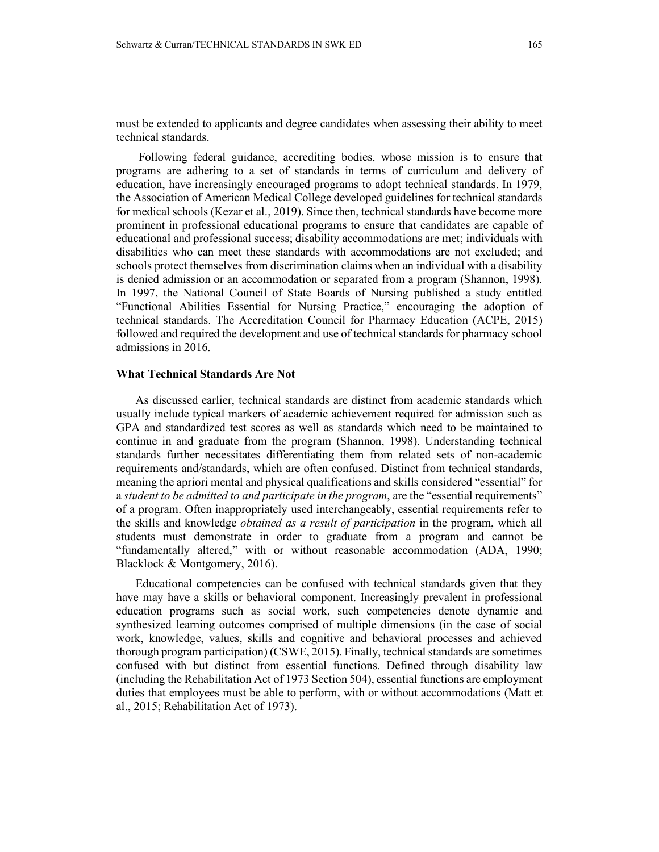must be extended to applicants and degree candidates when assessing their ability to meet technical standards.

Following federal guidance, accrediting bodies, whose mission is to ensure that programs are adhering to a set of standards in terms of curriculum and delivery of education, have increasingly encouraged programs to adopt technical standards. In 1979, the Association of American Medical College developed guidelines for technical standards for medical schools (Kezar et al., 2019). Since then, technical standards have become more prominent in professional educational programs to ensure that candidates are capable of educational and professional success; disability accommodations are met; individuals with disabilities who can meet these standards with accommodations are not excluded; and schools protect themselves from discrimination claims when an individual with a disability is denied admission or an accommodation or separated from a program (Shannon, 1998). In 1997, the National Council of State Boards of Nursing published a study entitled "Functional Abilities Essential for Nursing Practice," encouraging the adoption of technical standards. The Accreditation Council for Pharmacy Education (ACPE, 2015) followed and required the development and use of technical standards for pharmacy school admissions in 2016.

## **What Technical Standards Are Not**

As discussed earlier, technical standards are distinct from academic standards which usually include typical markers of academic achievement required for admission such as GPA and standardized test scores as well as standards which need to be maintained to continue in and graduate from the program (Shannon, 1998). Understanding technical standards further necessitates differentiating them from related sets of non-academic requirements and/standards, which are often confused. Distinct from technical standards, meaning the apriori mental and physical qualifications and skills considered "essential" for a *student to be admitted to and participate in the program*, are the "essential requirements" of a program. Often inappropriately used interchangeably, essential requirements refer to the skills and knowledge *obtained as a result of participation* in the program, which all students must demonstrate in order to graduate from a program and cannot be "fundamentally altered," with or without reasonable accommodation (ADA, 1990; Blacklock & Montgomery, 2016).

Educational competencies can be confused with technical standards given that they have may have a skills or behavioral component. Increasingly prevalent in professional education programs such as social work, such competencies denote dynamic and synthesized learning outcomes comprised of multiple dimensions (in the case of social work, knowledge, values, skills and cognitive and behavioral processes and achieved thorough program participation) (CSWE, 2015). Finally, technical standards are sometimes confused with but distinct from essential functions. Defined through disability law (including the Rehabilitation Act of 1973 Section 504), essential functions are employment duties that employees must be able to perform, with or without accommodations (Matt et al., 2015; Rehabilitation Act of 1973).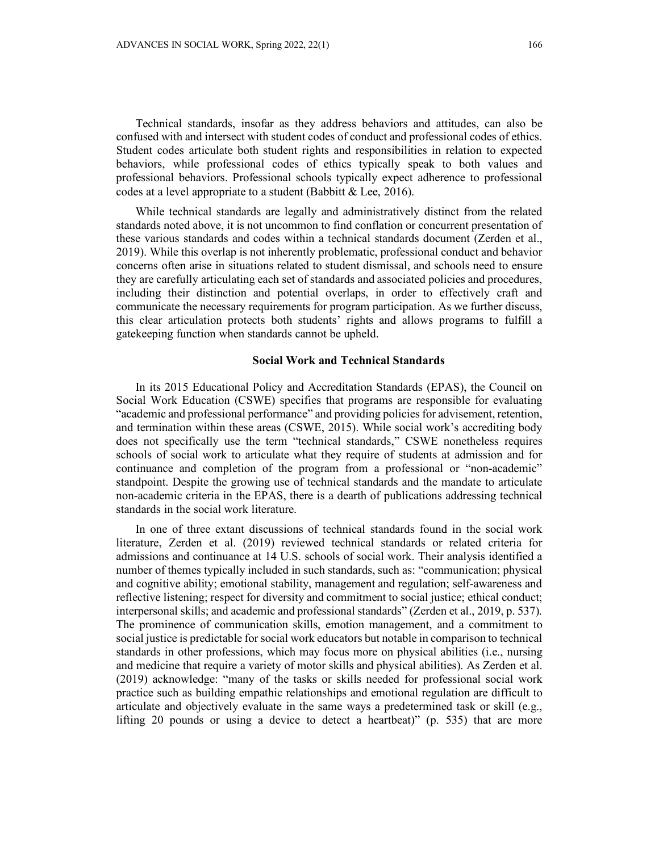Technical standards, insofar as they address behaviors and attitudes, can also be confused with and intersect with student codes of conduct and professional codes of ethics. Student codes articulate both student rights and responsibilities in relation to expected behaviors, while professional codes of ethics typically speak to both values and professional behaviors. Professional schools typically expect adherence to professional codes at a level appropriate to a student (Babbitt & Lee, 2016).

While technical standards are legally and administratively distinct from the related standards noted above, it is not uncommon to find conflation or concurrent presentation of these various standards and codes within a technical standards document (Zerden et al., 2019). While this overlap is not inherently problematic, professional conduct and behavior concerns often arise in situations related to student dismissal, and schools need to ensure they are carefully articulating each set of standards and associated policies and procedures, including their distinction and potential overlaps, in order to effectively craft and communicate the necessary requirements for program participation. As we further discuss, this clear articulation protects both students' rights and allows programs to fulfill a gatekeeping function when standards cannot be upheld.

#### **Social Work and Technical Standards**

In its 2015 Educational Policy and Accreditation Standards (EPAS), the Council on Social Work Education (CSWE) specifies that programs are responsible for evaluating "academic and professional performance" and providing policies for advisement, retention, and termination within these areas (CSWE, 2015). While social work's accrediting body does not specifically use the term "technical standards," CSWE nonetheless requires schools of social work to articulate what they require of students at admission and for continuance and completion of the program from a professional or "non-academic" standpoint. Despite the growing use of technical standards and the mandate to articulate non-academic criteria in the EPAS, there is a dearth of publications addressing technical standards in the social work literature.

In one of three extant discussions of technical standards found in the social work literature, Zerden et al. (2019) reviewed technical standards or related criteria for admissions and continuance at 14 U.S. schools of social work. Their analysis identified a number of themes typically included in such standards, such as: "communication; physical and cognitive ability; emotional stability, management and regulation; self-awareness and reflective listening; respect for diversity and commitment to social justice; ethical conduct; interpersonal skills; and academic and professional standards" (Zerden et al., 2019, p. 537). The prominence of communication skills, emotion management, and a commitment to social justice is predictable forsocial work educators but notable in comparison to technical standards in other professions, which may focus more on physical abilities (i.e., nursing and medicine that require a variety of motor skills and physical abilities). As Zerden et al. (2019) acknowledge: "many of the tasks or skills needed for professional social work practice such as building empathic relationships and emotional regulation are difficult to articulate and objectively evaluate in the same ways a predetermined task or skill (e.g., lifting 20 pounds or using a device to detect a heartbeat)" (p. 535) that are more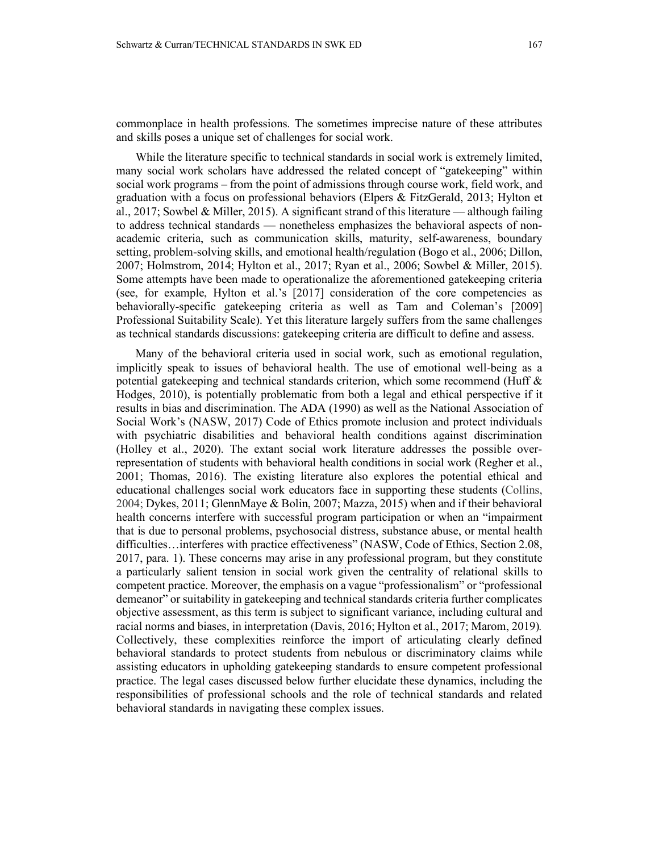commonplace in health professions. The sometimes imprecise nature of these attributes and skills poses a unique set of challenges for social work.

While the literature specific to technical standards in social work is extremely limited, many social work scholars have addressed the related concept of "gatekeeping" within social work programs – from the point of admissions through course work, field work, and graduation with a focus on professional behaviors (Elpers & FitzGerald, 2013; Hylton et al., 2017; Sowbel & Miller, 2015). A significant strand of this literature — although failing to address technical standards — nonetheless emphasizes the behavioral aspects of nonacademic criteria, such as communication skills, maturity, self-awareness, boundary setting, problem-solving skills, and emotional health/regulation (Bogo et al., 2006; Dillon, 2007; Holmstrom, 2014; Hylton et al., 2017; Ryan et al., 2006; Sowbel & Miller, 2015). Some attempts have been made to operationalize the aforementioned gatekeeping criteria (see, for example, Hylton et al.'s [2017] consideration of the core competencies as behaviorally-specific gatekeeping criteria as well as Tam and Coleman's [2009] Professional Suitability Scale). Yet this literature largely suffers from the same challenges as technical standards discussions: gatekeeping criteria are difficult to define and assess.

Many of the behavioral criteria used in social work, such as emotional regulation, implicitly speak to issues of behavioral health. The use of emotional well-being as a potential gatekeeping and technical standards criterion, which some recommend (Huff & Hodges, 2010), is potentially problematic from both a legal and ethical perspective if it results in bias and discrimination. The ADA (1990) as well as the National Association of Social Work's (NASW, 2017) Code of Ethics promote inclusion and protect individuals with psychiatric disabilities and behavioral health conditions against discrimination (Holley et al., 2020). The extant social work literature addresses the possible overrepresentation of students with behavioral health conditions in social work (Regher et al., 2001; Thomas, 2016). The existing literature also explores the potential ethical and educational challenges social work educators face in supporting these students (Collins, 2004; Dykes, 2011; GlennMaye & Bolin, 2007; Mazza, 2015) when and if their behavioral health concerns interfere with successful program participation or when an "impairment that is due to personal problems, psychosocial distress, substance abuse, or mental health difficulties…interferes with practice effectiveness" (NASW, Code of Ethics, Section 2.08, 2017, para. 1). These concerns may arise in any professional program, but they constitute a particularly salient tension in social work given the centrality of relational skills to competent practice. Moreover, the emphasis on a vague "professionalism" or "professional demeanor" or suitability in gatekeeping and technical standards criteria further complicates objective assessment, as this term is subject to significant variance, including cultural and racial norms and biases, in interpretation (Davis, 2016; Hylton et al., 2017; Marom, 2019)*.* Collectively, these complexities reinforce the import of articulating clearly defined behavioral standards to protect students from nebulous or discriminatory claims while assisting educators in upholding gatekeeping standards to ensure competent professional practice. The legal cases discussed below further elucidate these dynamics, including the responsibilities of professional schools and the role of technical standards and related behavioral standards in navigating these complex issues.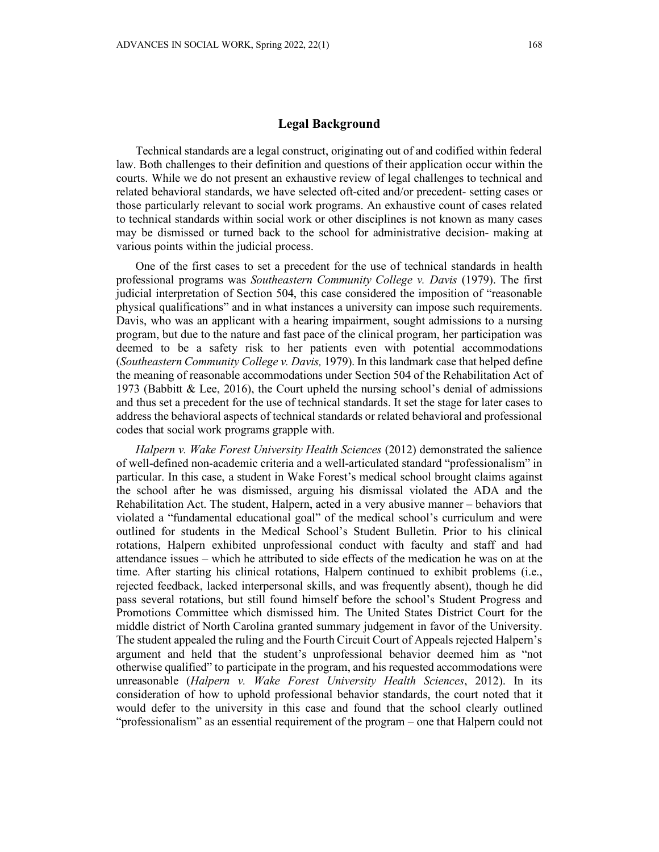### **Legal Background**

Technical standards are a legal construct, originating out of and codified within federal law. Both challenges to their definition and questions of their application occur within the courts. While we do not present an exhaustive review of legal challenges to technical and related behavioral standards, we have selected oft-cited and/or precedent- setting cases or those particularly relevant to social work programs. An exhaustive count of cases related to technical standards within social work or other disciplines is not known as many cases may be dismissed or turned back to the school for administrative decision- making at various points within the judicial process.

One of the first cases to set a precedent for the use of technical standards in health professional programs was *Southeastern Community College v. Davis* (1979). The first judicial interpretation of Section 504, this case considered the imposition of "reasonable physical qualifications" and in what instances a university can impose such requirements. Davis, who was an applicant with a hearing impairment, sought admissions to a nursing program, but due to the nature and fast pace of the clinical program, her participation was deemed to be a safety risk to her patients even with potential accommodations (*Southeastern Community College v. Davis,* 1979). In this landmark case that helped define the meaning of reasonable accommodations under Section 504 of the Rehabilitation Act of 1973 (Babbitt & Lee, 2016), the Court upheld the nursing school's denial of admissions and thus set a precedent for the use of technical standards. It set the stage for later cases to address the behavioral aspects of technical standards or related behavioral and professional codes that social work programs grapple with.

*Halpern v. Wake Forest University Health Sciences* (2012) demonstrated the salience of well-defined non-academic criteria and a well-articulated standard "professionalism" in particular. In this case, a student in Wake Forest's medical school brought claims against the school after he was dismissed, arguing his dismissal violated the ADA and the Rehabilitation Act. The student, Halpern, acted in a very abusive manner – behaviors that violated a "fundamental educational goal" of the medical school's curriculum and were outlined for students in the Medical School's Student Bulletin. Prior to his clinical rotations, Halpern exhibited unprofessional conduct with faculty and staff and had attendance issues – which he attributed to side effects of the medication he was on at the time. After starting his clinical rotations, Halpern continued to exhibit problems (i.e., rejected feedback, lacked interpersonal skills, and was frequently absent), though he did pass several rotations, but still found himself before the school's Student Progress and Promotions Committee which dismissed him. The United States District Court for the middle district of North Carolina granted summary judgement in favor of the University. The student appealed the ruling and the Fourth Circuit Court of Appeals rejected Halpern's argument and held that the student's unprofessional behavior deemed him as "not otherwise qualified" to participate in the program, and his requested accommodations were unreasonable (*Halpern v. Wake Forest University Health Sciences*, 2012). In its consideration of how to uphold professional behavior standards, the court noted that it would defer to the university in this case and found that the school clearly outlined "professionalism" as an essential requirement of the program – one that Halpern could not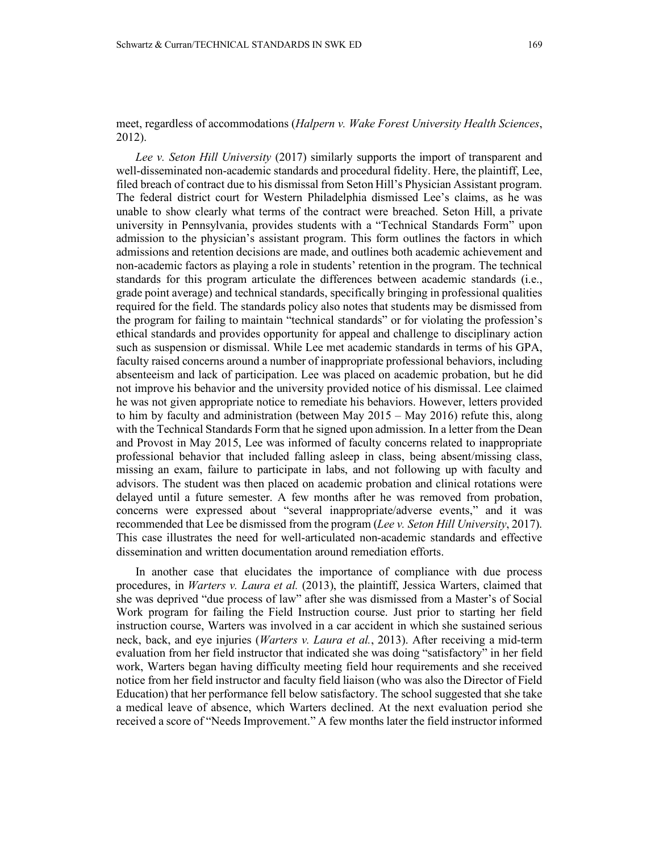## meet, regardless of accommodations (*Halpern v. Wake Forest University Health Sciences*, 2012).

*Lee v. Seton Hill University* (2017) similarly supports the import of transparent and well-disseminated non-academic standards and procedural fidelity. Here, the plaintiff, Lee, filed breach of contract due to his dismissal from Seton Hill's Physician Assistant program. The federal district court for Western Philadelphia dismissed Lee's claims, as he was unable to show clearly what terms of the contract were breached. Seton Hill, a private university in Pennsylvania, provides students with a "Technical Standards Form" upon admission to the physician's assistant program. This form outlines the factors in which admissions and retention decisions are made, and outlines both academic achievement and non-academic factors as playing a role in students' retention in the program. The technical standards for this program articulate the differences between academic standards (i.e., grade point average) and technical standards, specifically bringing in professional qualities required for the field. The standards policy also notes that students may be dismissed from the program for failing to maintain "technical standards" or for violating the profession's ethical standards and provides opportunity for appeal and challenge to disciplinary action such as suspension or dismissal. While Lee met academic standards in terms of his GPA, faculty raised concerns around a number of inappropriate professional behaviors, including absenteeism and lack of participation. Lee was placed on academic probation, but he did not improve his behavior and the university provided notice of his dismissal. Lee claimed he was not given appropriate notice to remediate his behaviors. However, letters provided to him by faculty and administration (between May 2015 – May 2016) refute this, along with the Technical Standards Form that he signed upon admission. In a letter from the Dean and Provost in May 2015, Lee was informed of faculty concerns related to inappropriate professional behavior that included falling asleep in class, being absent/missing class, missing an exam, failure to participate in labs, and not following up with faculty and advisors. The student was then placed on academic probation and clinical rotations were delayed until a future semester. A few months after he was removed from probation, concerns were expressed about "several inappropriate/adverse events," and it was recommended that Lee be dismissed from the program (*Lee v. Seton Hill University*, 2017). This case illustrates the need for well-articulated non-academic standards and effective dissemination and written documentation around remediation efforts.

In another case that elucidates the importance of compliance with due process procedures, in *Warters v. Laura et al.* (2013), the plaintiff, Jessica Warters, claimed that she was deprived "due process of law" after she was dismissed from a Master's of Social Work program for failing the Field Instruction course. Just prior to starting her field instruction course, Warters was involved in a car accident in which she sustained serious neck, back, and eye injuries (*Warters v. Laura et al.*, 2013). After receiving a mid-term evaluation from her field instructor that indicated she was doing "satisfactory" in her field work, Warters began having difficulty meeting field hour requirements and she received notice from her field instructor and faculty field liaison (who was also the Director of Field Education) that her performance fell below satisfactory. The school suggested that she take a medical leave of absence, which Warters declined. At the next evaluation period she received a score of "Needs Improvement." A few months later the field instructor informed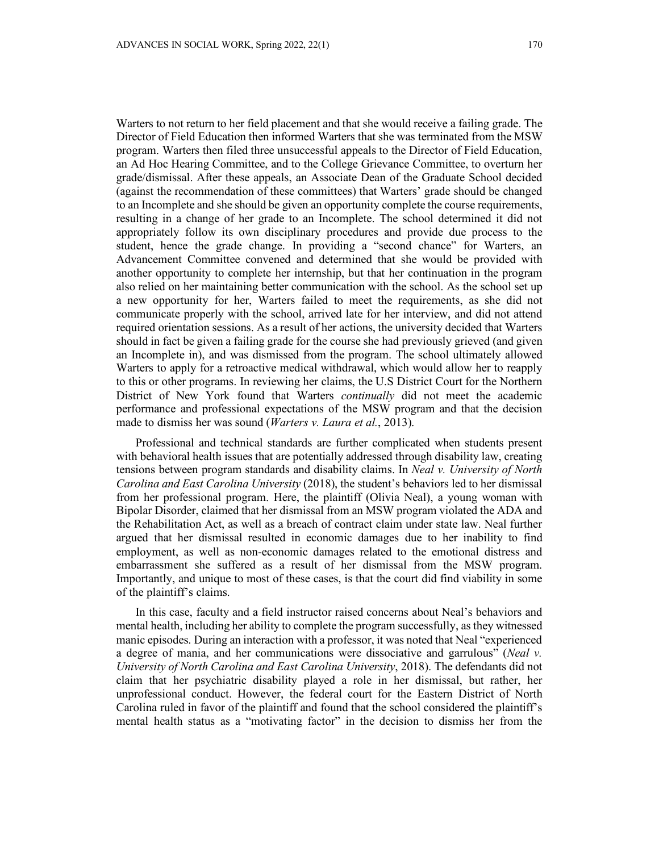Warters to not return to her field placement and that she would receive a failing grade. The Director of Field Education then informed Warters that she was terminated from the MSW program. Warters then filed three unsuccessful appeals to the Director of Field Education, an Ad Hoc Hearing Committee, and to the College Grievance Committee, to overturn her grade/dismissal. After these appeals, an Associate Dean of the Graduate School decided (against the recommendation of these committees) that Warters' grade should be changed to an Incomplete and she should be given an opportunity complete the course requirements, resulting in a change of her grade to an Incomplete. The school determined it did not appropriately follow its own disciplinary procedures and provide due process to the student, hence the grade change. In providing a "second chance" for Warters, an Advancement Committee convened and determined that she would be provided with another opportunity to complete her internship, but that her continuation in the program also relied on her maintaining better communication with the school. As the school set up a new opportunity for her, Warters failed to meet the requirements, as she did not communicate properly with the school, arrived late for her interview, and did not attend required orientation sessions. As a result of her actions, the university decided that Warters should in fact be given a failing grade for the course she had previously grieved (and given an Incomplete in), and was dismissed from the program. The school ultimately allowed Warters to apply for a retroactive medical withdrawal, which would allow her to reapply to this or other programs. In reviewing her claims, the U.S District Court for the Northern District of New York found that Warters *continually* did not meet the academic performance and professional expectations of the MSW program and that the decision made to dismiss her was sound (*Warters v. Laura et al.*, 2013).

Professional and technical standards are further complicated when students present with behavioral health issues that are potentially addressed through disability law, creating tensions between program standards and disability claims. In *Neal v. University of North Carolina and East Carolina University* (2018), the student's behaviors led to her dismissal from her professional program. Here, the plaintiff (Olivia Neal), a young woman with Bipolar Disorder, claimed that her dismissal from an MSW program violated the ADA and the Rehabilitation Act, as well as a breach of contract claim under state law. Neal further argued that her dismissal resulted in economic damages due to her inability to find employment, as well as non-economic damages related to the emotional distress and embarrassment she suffered as a result of her dismissal from the MSW program. Importantly, and unique to most of these cases, is that the court did find viability in some of the plaintiff's claims.

In this case, faculty and a field instructor raised concerns about Neal's behaviors and mental health, including her ability to complete the program successfully, as they witnessed manic episodes. During an interaction with a professor, it was noted that Neal "experienced a degree of mania, and her communications were dissociative and garrulous" (*Neal v. University of North Carolina and East Carolina University*, 2018). The defendants did not claim that her psychiatric disability played a role in her dismissal, but rather, her unprofessional conduct. However, the federal court for the Eastern District of North Carolina ruled in favor of the plaintiff and found that the school considered the plaintiff's mental health status as a "motivating factor" in the decision to dismiss her from the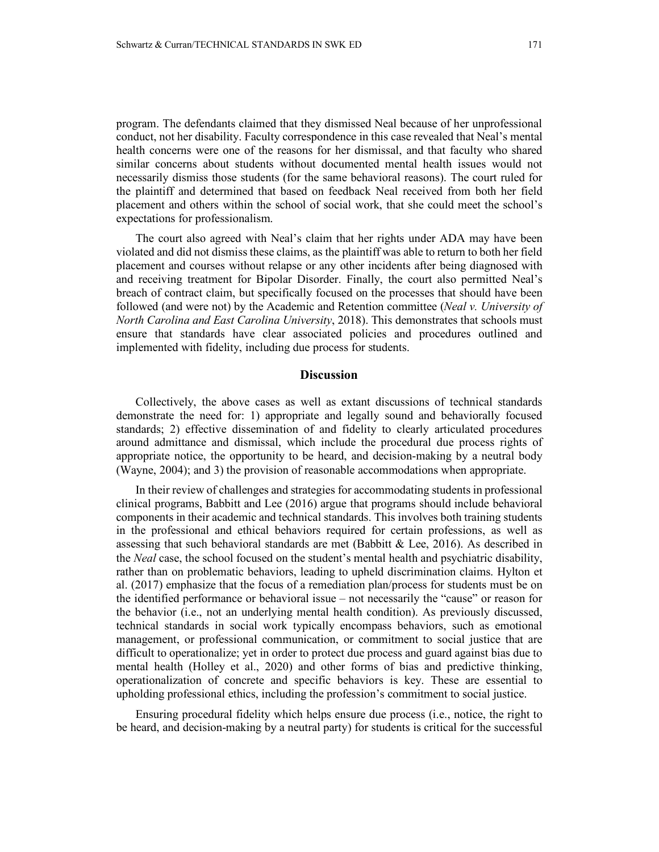program. The defendants claimed that they dismissed Neal because of her unprofessional conduct, not her disability. Faculty correspondence in this case revealed that Neal's mental health concerns were one of the reasons for her dismissal, and that faculty who shared similar concerns about students without documented mental health issues would not necessarily dismiss those students (for the same behavioral reasons). The court ruled for the plaintiff and determined that based on feedback Neal received from both her field placement and others within the school of social work, that she could meet the school's expectations for professionalism.

The court also agreed with Neal's claim that her rights under ADA may have been violated and did not dismiss these claims, as the plaintiff was able to return to both her field placement and courses without relapse or any other incidents after being diagnosed with and receiving treatment for Bipolar Disorder. Finally, the court also permitted Neal's breach of contract claim, but specifically focused on the processes that should have been followed (and were not) by the Academic and Retention committee (*Neal v. University of North Carolina and East Carolina University*, 2018). This demonstrates that schools must ensure that standards have clear associated policies and procedures outlined and implemented with fidelity, including due process for students.

#### **Discussion**

Collectively, the above cases as well as extant discussions of technical standards demonstrate the need for: 1) appropriate and legally sound and behaviorally focused standards; 2) effective dissemination of and fidelity to clearly articulated procedures around admittance and dismissal, which include the procedural due process rights of appropriate notice, the opportunity to be heard, and decision-making by a neutral body (Wayne, 2004); and 3) the provision of reasonable accommodations when appropriate.

In their review of challenges and strategies for accommodating students in professional clinical programs, Babbitt and Lee (2016) argue that programs should include behavioral components in their academic and technical standards. This involves both training students in the professional and ethical behaviors required for certain professions, as well as assessing that such behavioral standards are met (Babbitt & Lee, 2016). As described in the *Neal* case, the school focused on the student's mental health and psychiatric disability, rather than on problematic behaviors, leading to upheld discrimination claims. Hylton et al. (2017) emphasize that the focus of a remediation plan/process for students must be on the identified performance or behavioral issue – not necessarily the "cause" or reason for the behavior (i.e., not an underlying mental health condition). As previously discussed, technical standards in social work typically encompass behaviors, such as emotional management, or professional communication, or commitment to social justice that are difficult to operationalize; yet in order to protect due process and guard against bias due to mental health (Holley et al., 2020) and other forms of bias and predictive thinking, operationalization of concrete and specific behaviors is key. These are essential to upholding professional ethics, including the profession's commitment to social justice.

Ensuring procedural fidelity which helps ensure due process (i.e., notice, the right to be heard, and decision-making by a neutral party) for students is critical for the successful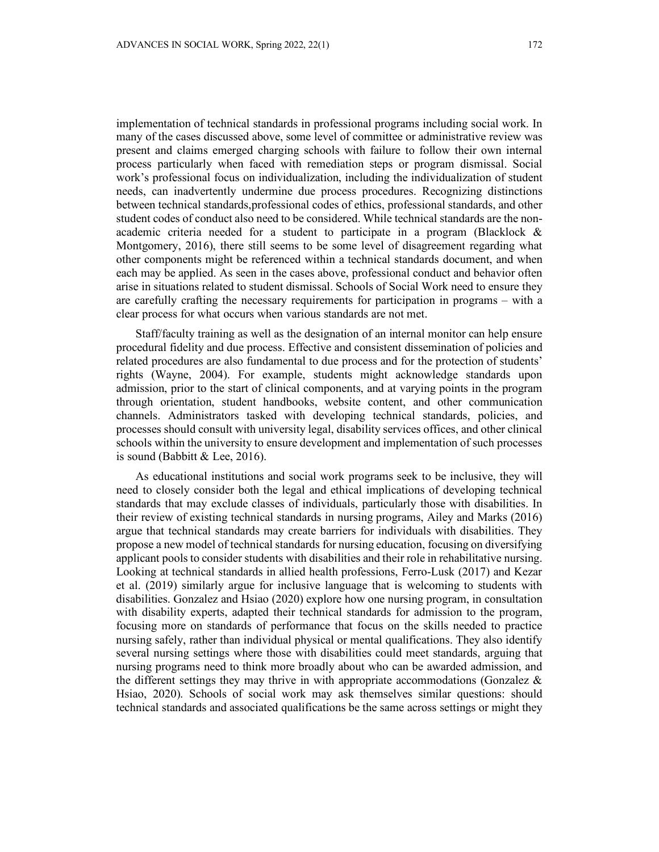implementation of technical standards in professional programs including social work. In many of the cases discussed above, some level of committee or administrative review was present and claims emerged charging schools with failure to follow their own internal process particularly when faced with remediation steps or program dismissal. Social work's professional focus on individualization, including the individualization of student needs, can inadvertently undermine due process procedures. Recognizing distinctions between technical standards,professional codes of ethics, professional standards, and other student codes of conduct also need to be considered. While technical standards are the nonacademic criteria needed for a student to participate in a program (Blacklock & Montgomery, 2016), there still seems to be some level of disagreement regarding what other components might be referenced within a technical standards document, and when each may be applied. As seen in the cases above, professional conduct and behavior often arise in situations related to student dismissal. Schools of Social Work need to ensure they are carefully crafting the necessary requirements for participation in programs – with a clear process for what occurs when various standards are not met.

Staff/faculty training as well as the designation of an internal monitor can help ensure procedural fidelity and due process. Effective and consistent dissemination of policies and related procedures are also fundamental to due process and for the protection of students' rights (Wayne, 2004). For example, students might acknowledge standards upon admission, prior to the start of clinical components, and at varying points in the program through orientation, student handbooks, website content, and other communication channels. Administrators tasked with developing technical standards, policies, and processes should consult with university legal, disability services offices, and other clinical schools within the university to ensure development and implementation of such processes is sound (Babbitt & Lee, 2016).

As educational institutions and social work programs seek to be inclusive, they will need to closely consider both the legal and ethical implications of developing technical standards that may exclude classes of individuals, particularly those with disabilities. In their review of existing technical standards in nursing programs, Ailey and Marks (2016) argue that technical standards may create barriers for individuals with disabilities. They propose a new model of technical standards for nursing education, focusing on diversifying applicant pools to consider students with disabilities and their role in rehabilitative nursing. Looking at technical standards in allied health professions, Ferro-Lusk (2017) and Kezar et al. (2019) similarly argue for inclusive language that is welcoming to students with disabilities. Gonzalez and Hsiao (2020) explore how one nursing program, in consultation with disability experts, adapted their technical standards for admission to the program, focusing more on standards of performance that focus on the skills needed to practice nursing safely, rather than individual physical or mental qualifications. They also identify several nursing settings where those with disabilities could meet standards, arguing that nursing programs need to think more broadly about who can be awarded admission, and the different settings they may thrive in with appropriate accommodations (Gonzalez & Hsiao, 2020). Schools of social work may ask themselves similar questions: should technical standards and associated qualifications be the same across settings or might they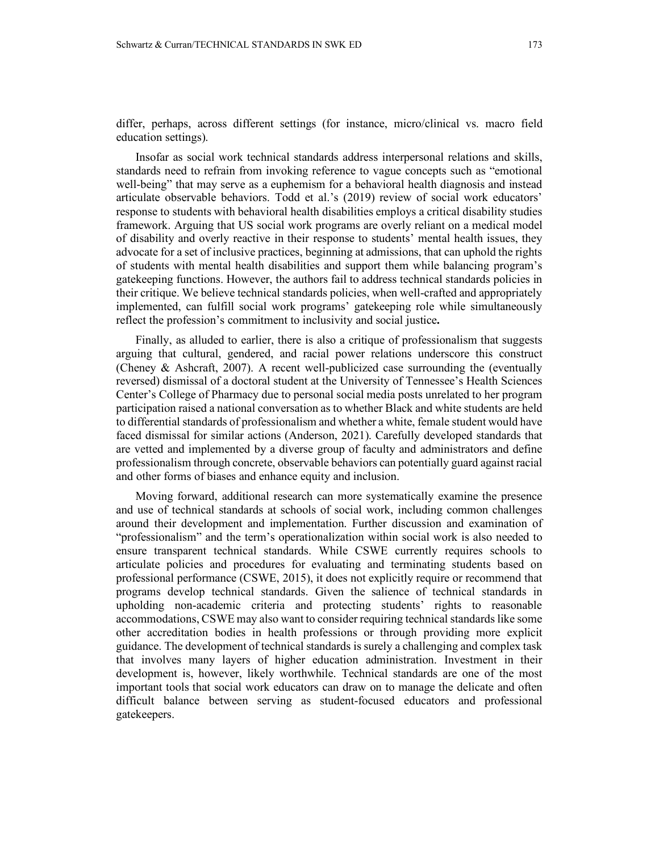differ, perhaps, across different settings (for instance, micro/clinical vs. macro field education settings).

Insofar as social work technical standards address interpersonal relations and skills, standards need to refrain from invoking reference to vague concepts such as "emotional well-being" that may serve as a euphemism for a behavioral health diagnosis and instead articulate observable behaviors. Todd et al.'s (2019) review of social work educators' response to students with behavioral health disabilities employs a critical disability studies framework. Arguing that US social work programs are overly reliant on a medical model of disability and overly reactive in their response to students' mental health issues, they advocate for a set of inclusive practices, beginning at admissions, that can uphold the rights of students with mental health disabilities and support them while balancing program's gatekeeping functions. However, the authors fail to address technical standards policies in their critique. We believe technical standards policies, when well-crafted and appropriately implemented, can fulfill social work programs' gatekeeping role while simultaneously reflect the profession's commitment to inclusivity and social justice**.**

Finally, as alluded to earlier, there is also a critique of professionalism that suggests arguing that cultural, gendered, and racial power relations underscore this construct (Cheney & Ashcraft, 2007). A recent well-publicized case surrounding the (eventually reversed) dismissal of a doctoral student at the University of Tennessee's Health Sciences Center's College of Pharmacy due to personal social media posts unrelated to her program participation raised a national conversation as to whether Black and white students are held to differential standards of professionalism and whether a white, female student would have faced dismissal for similar actions (Anderson, 2021). Carefully developed standards that are vetted and implemented by a diverse group of faculty and administrators and define professionalism through concrete, observable behaviors can potentially guard against racial and other forms of biases and enhance equity and inclusion.

Moving forward, additional research can more systematically examine the presence and use of technical standards at schools of social work, including common challenges around their development and implementation. Further discussion and examination of "professionalism" and the term's operationalization within social work is also needed to ensure transparent technical standards. While CSWE currently requires schools to articulate policies and procedures for evaluating and terminating students based on professional performance (CSWE, 2015), it does not explicitly require or recommend that programs develop technical standards. Given the salience of technical standards in upholding non-academic criteria and protecting students' rights to reasonable accommodations, CSWE may also want to consider requiring technical standards like some other accreditation bodies in health professions or through providing more explicit guidance. The development of technical standards is surely a challenging and complex task that involves many layers of higher education administration. Investment in their development is, however, likely worthwhile. Technical standards are one of the most important tools that social work educators can draw on to manage the delicate and often difficult balance between serving as student-focused educators and professional gatekeepers.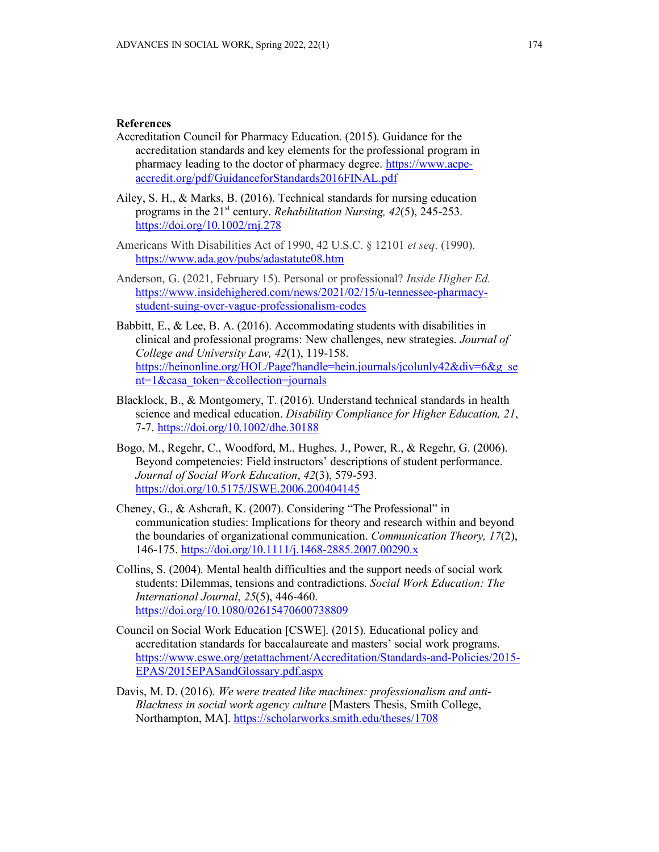#### **References**

- Accreditation Council for Pharmacy Education. (2015). Guidance for the accreditation standards and key elements for the professional program in pharmacy leading to the doctor of pharmacy degree. [https://www.acpe](https://www.acpe-accredit.org/pdf/GuidanceforStandards2016FINAL.pdf)[accredit.org/pdf/GuidanceforStandards2016FINAL.pdf](https://www.acpe-accredit.org/pdf/GuidanceforStandards2016FINAL.pdf)
- Ailey, S. H., & Marks, B. (2016). Technical standards for nursing education programs in the 21<sup>st</sup> century. *Rehabilitation Nursing, 42(5), 245-253.* <https://doi.org/10.1002/rnj.278>
- Americans With Disabilities Act of 1990, 42 U.S.C. § 12101 *et seq*. (1990). <https://www.ada.gov/pubs/adastatute08.htm>
- Anderson, G. (2021, February 15). Personal or professional? *Inside Higher Ed.*  [https://www.insidehighered.com/news/2021/02/15/u-tennessee-pharmacy](https://www.insidehighered.com/news/2021/02/15/u-tennessee-pharmacy-student-suing-over-vague-professionalism-codes)[student-suing-over-vague-professionalism-codes](https://www.insidehighered.com/news/2021/02/15/u-tennessee-pharmacy-student-suing-over-vague-professionalism-codes)
- Babbitt, E., & Lee, B. A. (2016). Accommodating students with disabilities in clinical and professional programs: New challenges, new strategies. *Journal of College and University Law, 42*(1), 119-158. [https://heinonline.org/HOL/Page?handle=hein.journals/jcolunly42&div=6&g\\_se](https://heinonline.org/HOL/Page?handle=hein.journals/jcolunly42&div=6&g_sent=1&casa_token=&collection=journals) [nt=1&casa\\_token=&collection=journals](https://heinonline.org/HOL/Page?handle=hein.journals/jcolunly42&div=6&g_sent=1&casa_token=&collection=journals)
- Blacklock, B., & Montgomery, T. (2016). Understand technical standards in health science and medical education. *Disability Compliance for Higher Education, 21*, 7-7.<https://doi.org/10.1002/dhe.30188>
- Bogo, M., Regehr, C., Woodford, M., Hughes, J., Power, R., & Regehr, G. (2006). Beyond competencies: Field instructors' descriptions of student performance. *Journal of Social Work Education*, *42*(3), 579-593. <https://doi.org/10.5175/JSWE.2006.200404145>
- Cheney, G., & Ashcraft, K. (2007). Considering "The Professional" in communication studies: Implications for theory and research within and beyond the boundaries of organizational communication. *Communication Theory, 17*(2), 146-175.<https://doi.org/10.1111/j.1468-2885.2007.00290.x>
- Collins, S. (2004). Mental health difficulties and the support needs of social work students: Dilemmas, tensions and contradictions. *Social Work Education: The International Journal*, *25*(5), 446-460. <https://doi.org/10.1080/02615470600738809>
- Council on Social Work Education [CSWE]. (2015). Educational policy and accreditation standards for baccalaureate and masters' social work programs. [https://www.cswe.org/getattachment/Accreditation/Standards-and-Policies/2015-](https://www.cswe.org/getattachment/Accreditation/Standards-and-Policies/2015-EPAS/2015EPASandGlossary.pdf.aspx) [EPAS/2015EPASandGlossary.pdf.aspx](https://www.cswe.org/getattachment/Accreditation/Standards-and-Policies/2015-EPAS/2015EPASandGlossary.pdf.aspx)
- Davis, M. D. (2016). *We were treated like machines: professionalism and anti-Blackness in social work agency culture* [Masters Thesis, Smith College, Northampton, MA].<https://scholarworks.smith.edu/theses/1708>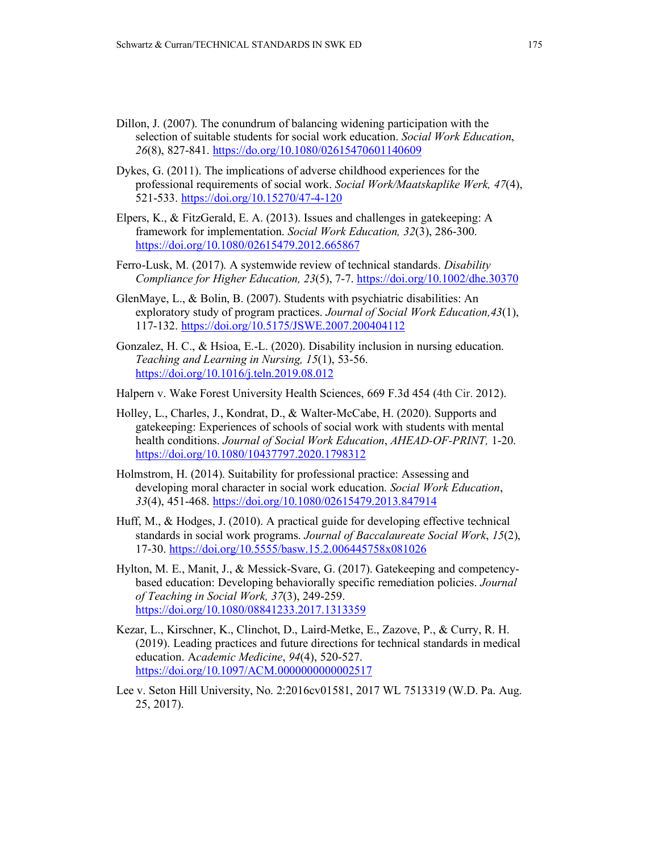- Dillon, J. (2007). The conundrum of balancing widening participation with the selection of suitable students for social work education. *Social Work Education*, *26*(8), 827-841.<https://do.org/10.1080/02615470601140609>
- Dykes, G. (2011). The implications of adverse childhood experiences for the professional requirements of social work. *Social Work/Maatskaplike Werk, 47*(4), 521-533.<https://doi.org/10.15270/47-4-120>
- Elpers, K., & FitzGerald, E. A. (2013). Issues and challenges in gatekeeping: A framework for implementation. *Social Work Education, 32*(3), 286-300. <https://doi.org/10.1080/02615479.2012.665867>
- Ferro-Lusk, M. (2017). A systemwide review of technical standards. *Disability Compliance for Higher Education, 23*(5), 7-7. <https://doi.org/10.1002/dhe.30370>
- GlenMaye, L., & Bolin, B. (2007). Students with psychiatric disabilities: An exploratory study of program practices. *Journal of Social Work Education,43*(1), 117-132.<https://doi.org/10.5175/JSWE.2007.200404112>
- Gonzalez, H. C., & Hsioa, E.-L. (2020). Disability inclusion in nursing education. *Teaching and Learning in Nursing, 15*(1), 53-56. <https://doi.org/10.1016/j.teln.2019.08.012>
- Halpern v. Wake Forest University Health Sciences, 669 F.3d 454 (4th Cir. 2012).
- Holley, L., Charles, J., Kondrat, D., & Walter-McCabe, H. (2020). Supports and gatekeeping: Experiences of schools of social work with students with mental health conditions. *Journal of Social Work Education*, *AHEAD-OF-PRINT,* 1-20. <https://doi.org/10.1080/10437797.2020.1798312>
- Holmstrom, H. (2014). Suitability for professional practice: Assessing and developing moral character in social work education. *Social Work Education*, *33*(4), 451-468.<https://doi.org/10.1080/02615479.2013.847914>
- Huff, M., & Hodges, J. (2010). A practical guide for developing effective technical standards in social work programs. *Journal of Baccalaureate Social Work*, *15*(2), 17-30.<https://doi.org/10.5555/basw.15.2.006445758x081026>
- Hylton, M. E., Manit, J., & Messick-Svare, G. (2017). Gatekeeping and competencybased education: Developing behaviorally specific remediation policies. *Journal of Teaching in Social Work, 37*(3), 249-259. <https://doi.org/10.1080/08841233.2017.1313359>
- Kezar, L., Kirschner, K., Clinchot, D., Laird-Metke, E., Zazove, P., & Curry, R. H. (2019). Leading practices and future directions for technical standards in medical education. A*cademic Medicine*, *94*(4), 520-527. <https://doi.org/10.1097/ACM.0000000000002517>
- Lee v. Seton Hill University, No. 2:2016cv01581, 2017 WL 7513319 (W.D. Pa. Aug. 25, 2017).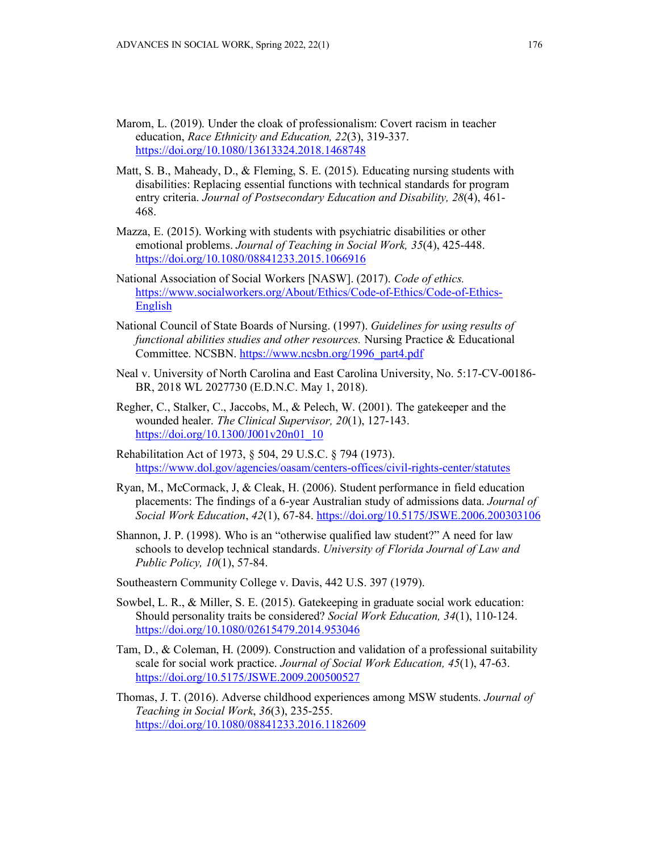- Marom, L. (2019). Under the cloak of professionalism: Covert racism in teacher education, *Race Ethnicity and Education, 22*(3), 319-337. <https://doi.org/10.1080/13613324.2018.1468748>
- Matt, S. B., Maheady, D., & Fleming, S. E. (2015). Educating nursing students with disabilities: Replacing essential functions with technical standards for program entry criteria. *Journal of Postsecondary Education and Disability, 28*(4), 461- 468.
- Mazza, E. (2015). Working with students with psychiatric disabilities or other emotional problems. *Journal of Teaching in Social Work, 35*(4), 425-448. <https://doi.org/10.1080/08841233.2015.1066916>
- National Association of Social Workers [NASW]. (2017). *Code of ethics.*  [https://www.socialworkers.org/About/Ethics/Code-of-Ethics/Code-of-Ethics-](https://www.socialworkers.org/About/Ethics/Code-of-Ethics/Code-of-Ethics-English)[English](https://www.socialworkers.org/About/Ethics/Code-of-Ethics/Code-of-Ethics-English)
- National Council of State Boards of Nursing. (1997). *Guidelines for using results of functional abilities studies and other resources.* Nursing Practice & Educational Committee. NCSBN. [https://www.ncsbn.org/1996\\_part4.pdf](https://www.ncsbn.org/1996_part4.pdf)
- Neal v. University of North Carolina and East Carolina University, No. 5:17-CV-00186- BR, 2018 WL 2027730 (E.D.N.C. May 1, 2018).
- Regher, C., Stalker, C., Jaccobs, M., & Pelech, W. (2001). The gatekeeper and the wounded healer. *The Clinical Supervisor, 20*(1), 127-143. [https://doi.org/10.1300/J001v20n01\\_10](https://doi.org/10.1300/J001v20n01_10)
- Rehabilitation Act of 1973, § 504, 29 U.S.C. § 794 (1973). <https://www.dol.gov/agencies/oasam/centers-offices/civil-rights-center/statutes>
- Ryan, M., McCormack, J, & Cleak, H. (2006). Student performance in field education placements: The findings of a 6-year Australian study of admissions data. *Journal of Social Work Education*, *42*(1), 67-84.<https://doi.org/10.5175/JSWE.2006.200303106>
- Shannon, J. P. (1998). Who is an "otherwise qualified law student?" A need for law schools to develop technical standards. *University of Florida Journal of Law and Public Policy, 10*(1), 57-84.
- Southeastern Community College v. Davis, 442 U.S. 397 (1979).
- Sowbel, L. R., & Miller, S. E. (2015). Gatekeeping in graduate social work education: Should personality traits be considered? *Social Work Education, 34*(1), 110-124. [https://doi.org/10.1080/02615479.2014.953046](https://psycnet.apa.org/doi/10.1080/02615479.2014.953046)
- Tam, D., & Coleman, H. (2009). Construction and validation of a professional suitability scale for social work practice. *Journal of Social Work Education, 45*(1), 47-63. <https://doi.org/10.5175/JSWE.2009.200500527>
- Thomas, J. T. (2016). Adverse childhood experiences among MSW students. *Journal of Teaching in Social Work*, *36*(3), 235-255. <https://doi.org/10.1080/08841233.2016.1182609>